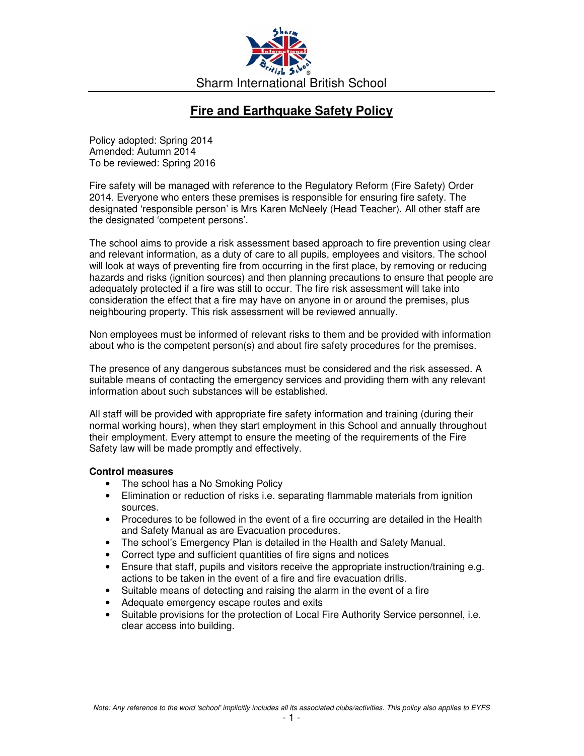

## **Fire and Earthquake Safety Policy**

Policy adopted: Spring 2014 Amended: Autumn 2014 To be reviewed: Spring 2016

Fire safety will be managed with reference to the Regulatory Reform (Fire Safety) Order 2014. Everyone who enters these premises is responsible for ensuring fire safety. The designated 'responsible person' is Mrs Karen McNeely (Head Teacher). All other staff are the designated 'competent persons'.

The school aims to provide a risk assessment based approach to fire prevention using clear and relevant information, as a duty of care to all pupils, employees and visitors. The school will look at ways of preventing fire from occurring in the first place, by removing or reducing hazards and risks (ignition sources) and then planning precautions to ensure that people are adequately protected if a fire was still to occur. The fire risk assessment will take into consideration the effect that a fire may have on anyone in or around the premises, plus neighbouring property. This risk assessment will be reviewed annually.

Non employees must be informed of relevant risks to them and be provided with information about who is the competent person(s) and about fire safety procedures for the premises.

The presence of any dangerous substances must be considered and the risk assessed. A suitable means of contacting the emergency services and providing them with any relevant information about such substances will be established.

All staff will be provided with appropriate fire safety information and training (during their normal working hours), when they start employment in this School and annually throughout their employment. Every attempt to ensure the meeting of the requirements of the Fire Safety law will be made promptly and effectively.

## **Control measures**

- The school has a No Smoking Policy
- Elimination or reduction of risks i.e. separating flammable materials from ignition sources.
- Procedures to be followed in the event of a fire occurring are detailed in the Health and Safety Manual as are Evacuation procedures.
- The school's Emergency Plan is detailed in the Health and Safety Manual.
- Correct type and sufficient quantities of fire signs and notices
- Ensure that staff, pupils and visitors receive the appropriate instruction/training e.g. actions to be taken in the event of a fire and fire evacuation drills.
- Suitable means of detecting and raising the alarm in the event of a fire
- Adequate emergency escape routes and exits
- Suitable provisions for the protection of Local Fire Authority Service personnel, i.e. clear access into building.